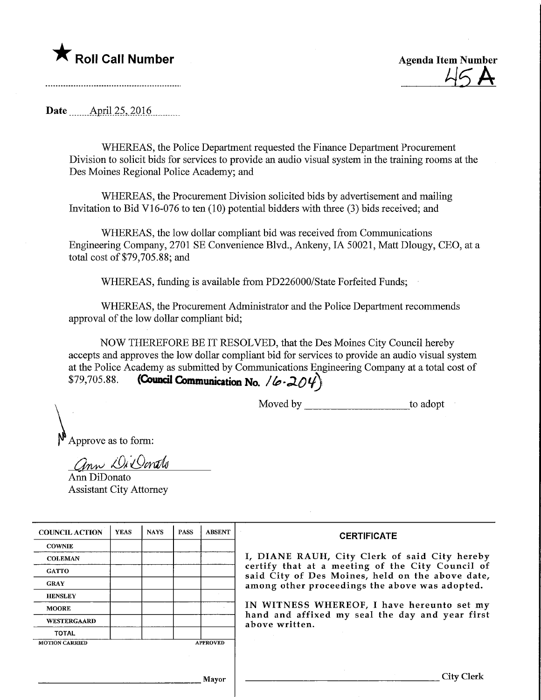

**Agenda Item Number** 

Date .April25,2Q16.

WHEREAS, the Police Department requested the Finance Department Procurement Division to solicit bids for services to provide an audio visual system in the training rooms at the Des Moines Regional Police Academy; and

WHEREAS, the Procurement Division solicited bids by advertisement and mailing Invitation to Bid V16-076 to ten  $(10)$  potential bidders with three  $(3)$  bids received; and

WHEREAS, the low dollar compliant bid was received from Communications Engineering Company, 2701 SE Convenience Blvd., Ankeny, IA 50021, Matt Dlougy, CEO, at a total cost of \$79,705.88; and

WHEREAS, funding is available from PD226000/State Forfeited Funds;

WHEREAS, the Procurement Administrator and the Police Department recommends approval of the low dollar compliant bid;

NOW THEREFORE BE IT RESOLVED, that the Des Moines City Council hereby accepts and approves the low dollar compliant bid for services to provide an audio visual system at the Police Academy as submitted by Communications Engineering Company at a total cost of \$79,705.88. **(Council Communication No.** / $\left($ - $204\right)$ 

Moved by \_\_\_\_\_\_\_\_\_\_\_\_\_\_\_\_\_\_\_\_\_\_\_\_\_to adopt

Approve as to form:

ann Di Donato Ann DiDonato Assistant City Attorney

| <b>COUNCIL ACTION</b> | <b>YEAS</b> | <b>NAYS</b> | <b>PASS</b> | <b>ABSENT</b>   | <b>CERTIFICATE</b>                                                                                                                                    |  |  |  |  |
|-----------------------|-------------|-------------|-------------|-----------------|-------------------------------------------------------------------------------------------------------------------------------------------------------|--|--|--|--|
| <b>COWNIE</b>         |             |             |             |                 |                                                                                                                                                       |  |  |  |  |
| <b>COLEMAN</b>        |             |             |             |                 | I, DIANE RAUH, City Clerk of said City hereby<br>certify that at a meeting of the City Council of<br>said City of Des Moines, held on the above date, |  |  |  |  |
| <b>GATTO</b>          |             |             |             |                 |                                                                                                                                                       |  |  |  |  |
| <b>GRAY</b>           |             |             |             |                 | among other proceedings the above was adopted.                                                                                                        |  |  |  |  |
| <b>HENSLEY</b>        |             |             |             |                 | IN WITNESS WHEREOF, I have hereunto set my                                                                                                            |  |  |  |  |
| <b>MOORE</b>          |             |             |             |                 |                                                                                                                                                       |  |  |  |  |
| <b>WESTERGAARD</b>    |             |             |             |                 | hand and affixed my seal the day and year first<br>above written.                                                                                     |  |  |  |  |
| TOTAL                 |             |             |             |                 |                                                                                                                                                       |  |  |  |  |
| <b>MOTION CARRIED</b> |             |             |             | <b>APPROVED</b> |                                                                                                                                                       |  |  |  |  |
|                       |             |             |             |                 |                                                                                                                                                       |  |  |  |  |
|                       |             |             |             |                 |                                                                                                                                                       |  |  |  |  |
| Mayor                 |             |             |             |                 | City Clerk                                                                                                                                            |  |  |  |  |